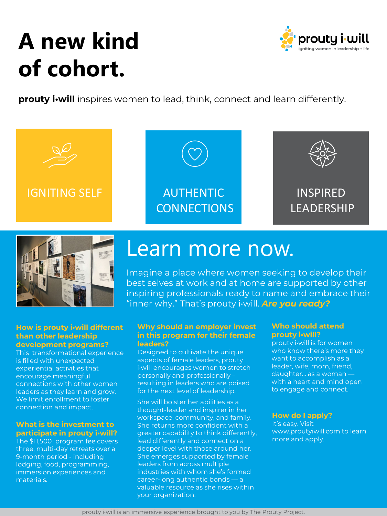## **A new kind of cohort.**

**prouty i•will** inspires women to lead, think, connect and learn differently.









### **How is prouty i•will different than other leadership development programs?**

This transformational experience is filled with unexpected experiential activities that encourage meaningful connections with other women leaders as they learn and grow. We limit enrollment to foster connection and impact.

### **What is the investment to participate in prouty i•will?**

The \$11,500 program fee covers three, multi-day retreats over a 9-month period - including lodging, food, programming, immersion experiences and materials.

## Learn more now.

Imagine a place where women seeking to develop their best selves at work and at home are supported by other inspiring professionals ready to name and embrace their "inner why." That's prouty i•will. *Are you ready?*

### **Why should an employer invest in this program for their female leaders?**

Designed to cultivate the unique aspects of female leaders, prouty i•will encourages women to stretch personally and professionally – resulting in leaders who are poised for the next level of leadership.

She will bolster her abilities as a thought-leader and inspirer in her workspace, community, and family. She returns more confident with a greater capability to think differently, lead differently and connect on a deeper level with those around her. She emerges supported by female leaders from across multiple industries with whom she's formed career-long authentic bonds — a valuable resource as she rises within your organization.

### **Who should attend prouty i•will?**

prouty i•will is for women who know there's more they want to accomplish as a leader, wife, mom, friend, daughter... as a woman with a heart and mind open to engage and connect.

### **How do I apply?**

It's easy. Visit www.proutyiwill.com to learn more and apply.